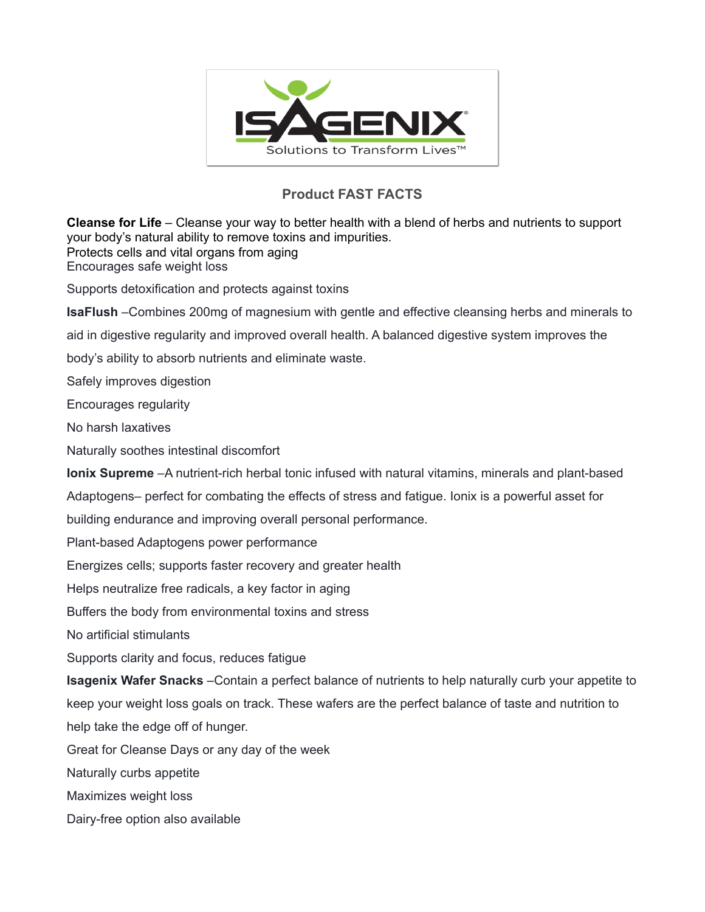

## **Product FAST FACTS**

**Cleanse for Life** – Cleanse your way to better health with a blend of herbs and nutrients to support your body's natural ability to remove toxins and impurities. Protects cells and vital organs from aging Encourages safe weight loss

Supports detoxification and protects against toxins

**IsaFlush** –Combines 200mg of magnesium with gentle and effective cleansing herbs and minerals to

aid in digestive regularity and improved overall health. A balanced digestive system improves the

body's ability to absorb nutrients and eliminate waste.

Safely improves digestion

Encourages regularity

No harsh laxatives

Naturally soothes intestinal discomfort

**Ionix Supreme** –A nutrient-rich herbal tonic infused with natural vitamins, minerals and plant-based

Adaptogens– perfect for combating the effects of stress and fatigue. Ionix is a powerful asset for

building endurance and improving overall personal performance.

Plant-based Adaptogens power performance

Energizes cells; supports faster recovery and greater health

Helps neutralize free radicals, a key factor in aging

Buffers the body from environmental toxins and stress

No artificial stimulants

Supports clarity and focus, reduces fatigue

**Isagenix Wafer Snacks** –Contain a perfect balance of nutrients to help naturally curb your appetite to

keep your weight loss goals on track. These wafers are the perfect balance of taste and nutrition to help take the edge off of hunger.

Great for Cleanse Days or any day of the week

Naturally curbs appetite

Maximizes weight loss

Dairy-free option also available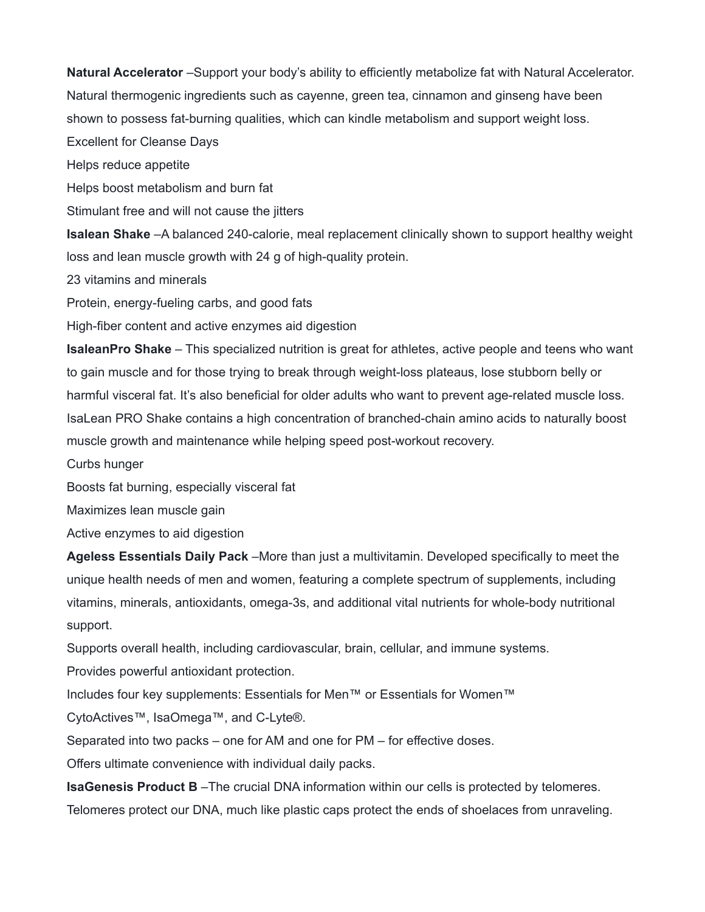**Natural Accelerator** –Support your body's ability to efficiently metabolize fat with Natural Accelerator. Natural thermogenic ingredients such as cayenne, green tea, cinnamon and ginseng have been shown to possess fat-burning qualities, which can kindle metabolism and support weight loss. Excellent for Cleanse Days

Helps reduce appetite

Helps boost metabolism and burn fat

Stimulant free and will not cause the jitters

**Isalean Shake** –A balanced 240-calorie, meal replacement clinically shown to support healthy weight loss and lean muscle growth with 24 g of high-quality protein.

23 vitamins and minerals

Protein, energy-fueling carbs, and good fats

High-fiber content and active enzymes aid digestion

**IsaleanPro Shake** – This specialized nutrition is great for athletes, active people and teens who want to gain muscle and for those trying to break through weight-loss plateaus, lose stubborn belly or harmful visceral fat. It's also beneficial for older adults who want to prevent age-related muscle loss. IsaLean PRO Shake contains a high concentration of branched-chain amino acids to naturally boost muscle growth and maintenance while helping speed post-workout recovery.

Curbs hunger

Boosts fat burning, especially visceral fat

Maximizes lean muscle gain

Active enzymes to aid digestion

**Ageless Essentials Daily Pack** –More than just a multivitamin. Developed specifically to meet the unique health needs of men and women, featuring a complete spectrum of supplements, including vitamins, minerals, antioxidants, omega-3s, and additional vital nutrients for whole-body nutritional support.

Supports overall health, including cardiovascular, brain, cellular, and immune systems.

Provides powerful antioxidant protection.

Includes four key supplements: Essentials for Men™ or Essentials for Women™

CytoActives™, IsaOmega™, and C-Lyte®.

Separated into two packs – one for AM and one for PM – for effective doses.

Offers ultimate convenience with individual daily packs.

**IsaGenesis Product B** –The crucial DNA information within our cells is protected by telomeres.

Telomeres protect our DNA, much like plastic caps protect the ends of shoelaces from unraveling.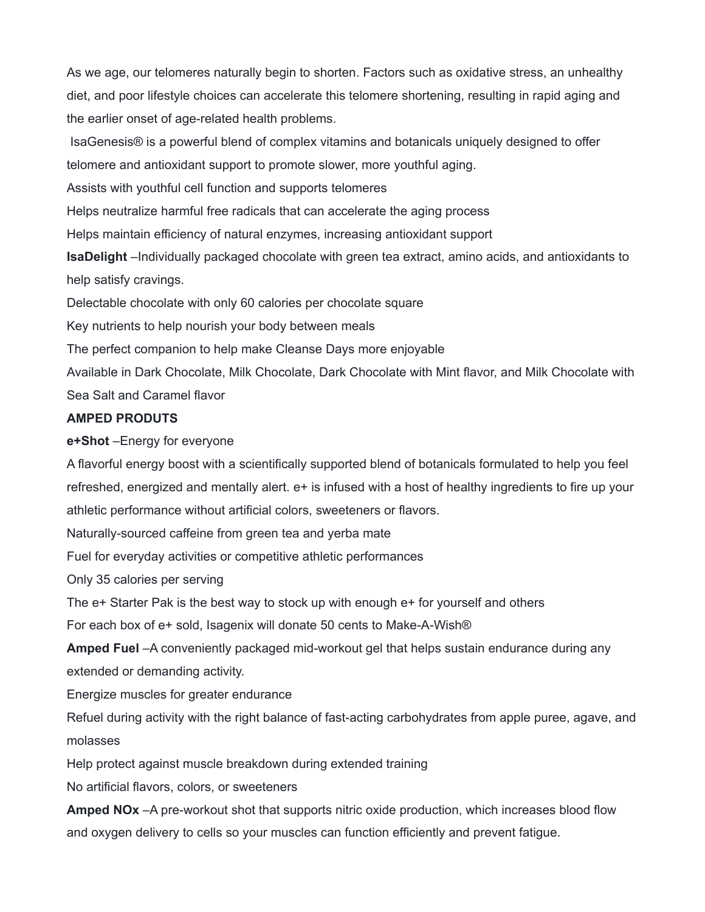As we age, our telomeres naturally begin to shorten. Factors such as oxidative stress, an unhealthy diet, and poor lifestyle choices can accelerate this telomere shortening, resulting in rapid aging and the earlier onset of age-related health problems.

 IsaGenesis® is a powerful blend of complex vitamins and botanicals uniquely designed to offer telomere and antioxidant support to promote slower, more youthful aging.

Assists with youthful cell function and supports telomeres

Helps neutralize harmful free radicals that can accelerate the aging process

Helps maintain efficiency of natural enzymes, increasing antioxidant support

**IsaDelight** –Individually packaged chocolate with green tea extract, amino acids, and antioxidants to help satisfy cravings.

Delectable chocolate with only 60 calories per chocolate square

Key nutrients to help nourish your body between meals

The perfect companion to help make Cleanse Days more enjoyable

Available in Dark Chocolate, Milk Chocolate, Dark Chocolate with Mint flavor, and Milk Chocolate with Sea Salt and Caramel flavor

## **AMPED PRODUTS**

**e+Shot** –Energy for everyone

A flavorful energy boost with a scientifically supported blend of botanicals formulated to help you feel refreshed, energized and mentally alert. e+ is infused with a host of healthy ingredients to fire up your athletic performance without artificial colors, sweeteners or flavors.

Naturally-sourced caffeine from green tea and yerba mate

Fuel for everyday activities or competitive athletic performances

Only 35 calories per serving

The e+ Starter Pak is the best way to stock up with enough e+ for yourself and others

For each box of e+ sold, Isagenix will donate 50 cents to Make-A-Wish®

**Amped Fuel** –A conveniently packaged mid-workout gel that helps sustain endurance during any extended or demanding activity.

Energize muscles for greater endurance

Refuel during activity with the right balance of fast-acting carbohydrates from apple puree, agave, and molasses

Help protect against muscle breakdown during extended training

No artificial flavors, colors, or sweeteners

**Amped NOx** –A pre-workout shot that supports nitric oxide production, which increases blood flow and oxygen delivery to cells so your muscles can function efficiently and prevent fatigue.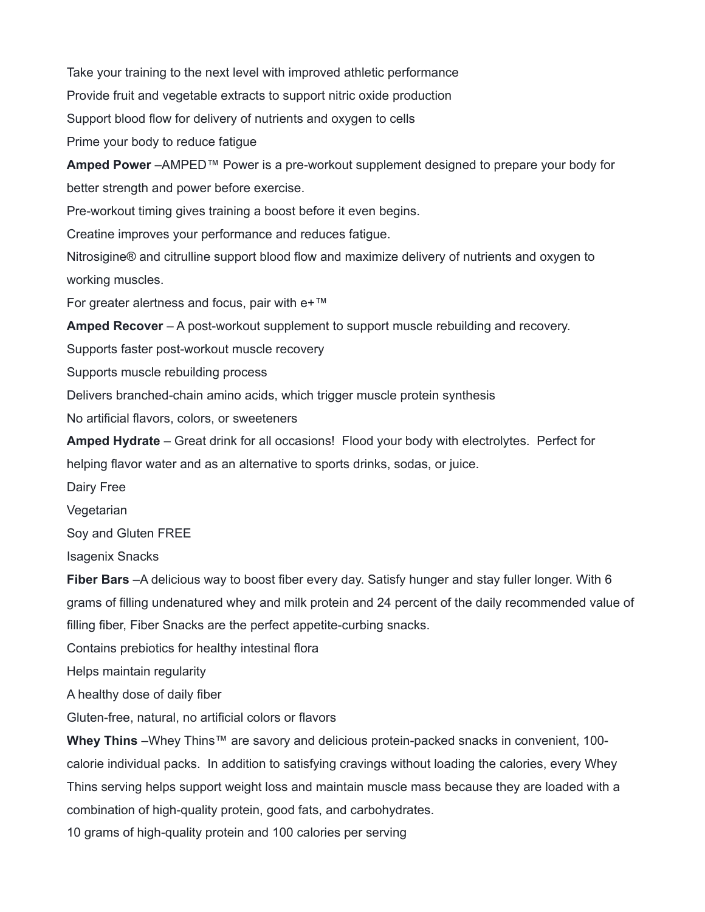Take your training to the next level with improved athletic performance Provide fruit and vegetable extracts to support nitric oxide production Support blood flow for delivery of nutrients and oxygen to cells Prime your body to reduce fatigue

**Amped Power** –AMPED™ Power is a pre-workout supplement designed to prepare your body for better strength and power before exercise.

Pre-workout timing gives training a boost before it even begins.

Creatine improves your performance and reduces fatigue.

Nitrosigine® and citrulline support blood flow and maximize delivery of nutrients and oxygen to working muscles.

For greater alertness and focus, pair with e+™

**Amped Recover** – A post-workout supplement to support muscle rebuilding and recovery.

Supports faster post-workout muscle recovery

Supports muscle rebuilding process

Delivers branched-chain amino acids, which trigger muscle protein synthesis

No artificial flavors, colors, or sweeteners

**Amped Hydrate** – Great drink for all occasions! Flood your body with electrolytes. Perfect for helping flavor water and as an alternative to sports drinks, sodas, or juice.

Dairy Free

Vegetarian

Soy and Gluten FREE

Isagenix Snacks

**Fiber Bars** –A delicious way to boost fiber every day. Satisfy hunger and stay fuller longer. With 6 grams of filling undenatured whey and milk protein and 24 percent of the daily recommended value of filling fiber, Fiber Snacks are the perfect appetite-curbing snacks.

Contains prebiotics for healthy intestinal flora

Helps maintain regularity

A healthy dose of daily fiber

Gluten-free, natural, no artificial colors or flavors

**Whey Thins** –Whey Thins™ are savory and delicious protein-packed snacks in convenient, 100 calorie individual packs. In addition to satisfying cravings without loading the calories, every Whey Thins serving helps support weight loss and maintain muscle mass because they are loaded with a combination of high-quality protein, good fats, and carbohydrates.

10 grams of high-quality protein and 100 calories per serving